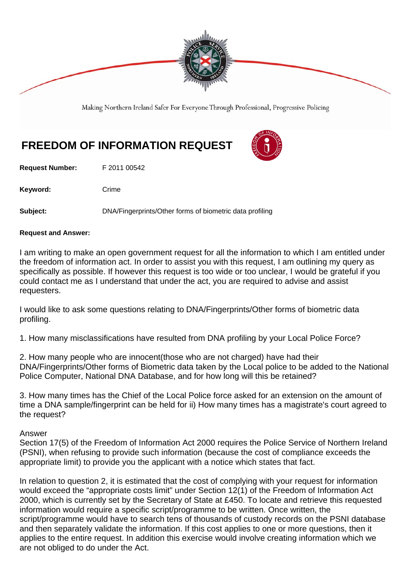

Making Northern Ireland Safer For Everyone Through Professional, Progressive Policing

# **FREEDOM OF INFORMATION REQUEST**

**Request Number:** F 2011 00542

Keyword: Crime

**Subject:** DNA/Fingerprints/Other forms of biometric data profiling

### **Request and Answer:**

I am writing to make an open government request for all the information to which I am entitled under the freedom of information act. In order to assist you with this request, I am outlining my query as specifically as possible. If however this request is too wide or too unclear, I would be grateful if you could contact me as I understand that under the act, you are required to advise and assist requesters.

I would like to ask some questions relating to DNA/Fingerprints/Other forms of biometric data profiling.

1. How many misclassifications have resulted from DNA profiling by your Local Police Force?

2. How many people who are innocent(those who are not charged) have had their DNA/Fingerprints/Other forms of Biometric data taken by the Local police to be added to the National Police Computer, National DNA Database, and for how long will this be retained?

3. How many times has the Chief of the Local Police force asked for an extension on the amount of time a DNA sample/fingerprint can be held for ii) How many times has a magistrate's court agreed to the request?

# Answer

Section 17(5) of the Freedom of Information Act 2000 requires the Police Service of Northern Ireland (PSNI), when refusing to provide such information (because the cost of compliance exceeds the appropriate limit) to provide you the applicant with a notice which states that fact.

In relation to question 2, it is estimated that the cost of complying with your request for information would exceed the "appropriate costs limit" under Section 12(1) of the Freedom of Information Act 2000, which is currently set by the Secretary of State at £450. To locate and retrieve this requested information would require a specific script/programme to be written. Once written, the script/programme would have to search tens of thousands of custody records on the PSNI database and then separately validate the information. If this cost applies to one or more questions, then it applies to the entire request. In addition this exercise would involve creating information which we are not obliged to do under the Act.